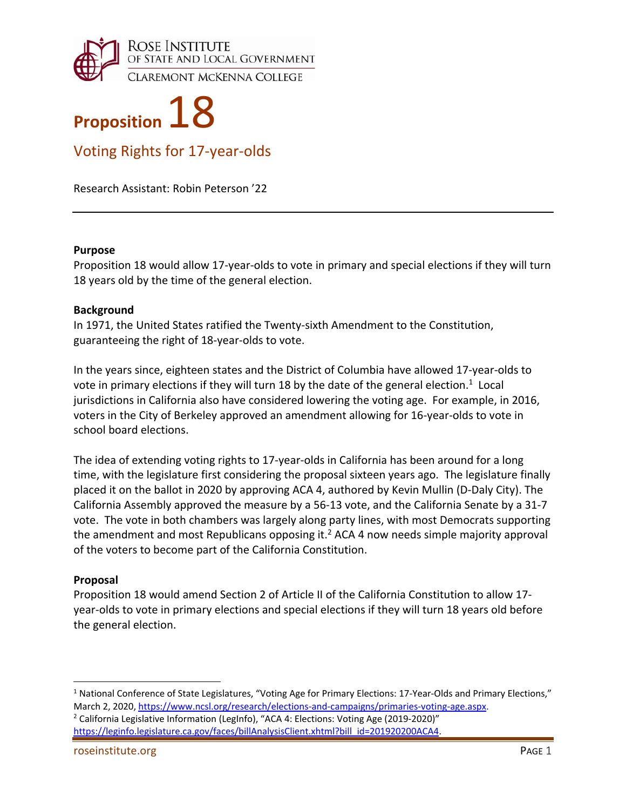



Voting Rights for 17‐year‐olds

Research Assistant: Robin Peterson '22

### **Purpose**

Proposition 18 would allow 17‐year‐olds to vote in primary and special elections if they will turn 18 years old by the time of the general election.

### **Background**

In 1971, the United States ratified the Twenty‐sixth Amendment to the Constitution, guaranteeing the right of 18‐year‐olds to vote.

In the years since, eighteen states and the District of Columbia have allowed 17‐year‐olds to vote in primary elections if they will turn 18 by the date of the general election.<sup>1</sup> Local jurisdictions in California also have considered lowering the voting age. For example, in 2016, voters in the City of Berkeley approved an amendment allowing for 16‐year‐olds to vote in school board elections.

The idea of extending voting rights to 17‐year‐olds in California has been around for a long time, with the legislature first considering the proposal sixteen years ago. The legislature finally placed it on the ballot in 2020 by approving ACA 4, authored by Kevin Mullin (D‐Daly City). The California Assembly approved the measure by a 56‐13 vote, and the California Senate by a 31‐7 vote. The vote in both chambers was largely along party lines, with most Democrats supporting the amendment and most Republicans opposing it.<sup>2</sup> ACA 4 now needs simple majority approval of the voters to become part of the California Constitution.

# **Proposal**

1

Proposition 18 would amend Section 2 of Article II of the California Constitution to allow 17‐ year‐olds to vote in primary elections and special elections if they will turn 18 years old before the general election.

<sup>2</sup> California Legislative Information (LegInfo), "ACA 4: Elections: Voting Age (2019-2020)" https://leginfo.legislature.ca.gov/faces/billAnalysisClient.xhtml?bill\_id=201920200ACA4.

<sup>&</sup>lt;sup>1</sup> National Conference of State Legislatures, "Voting Age for Primary Elections: 17-Year-Olds and Primary Elections," March 2, 2020, https://www.ncsl.org/research/elections-and-campaigns/primaries-voting-age.aspx.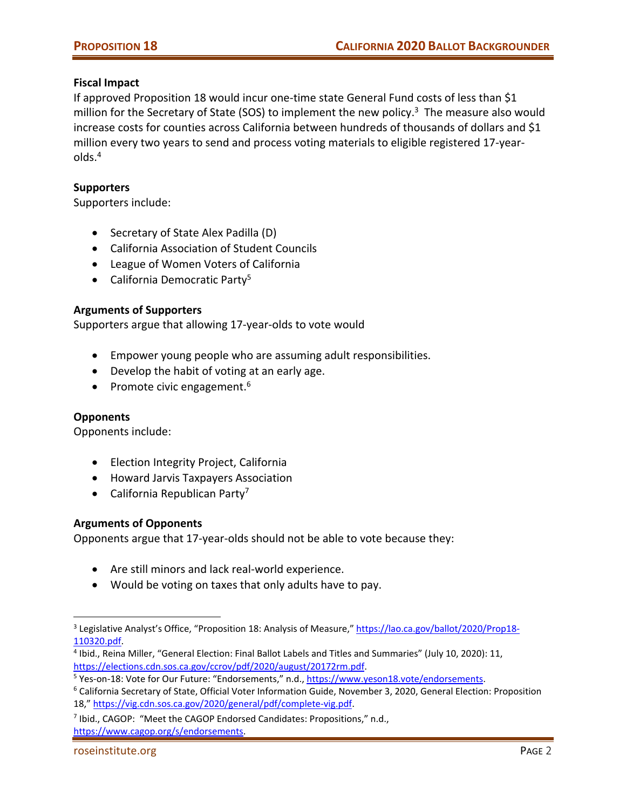# **Fiscal Impact**

If approved Proposition 18 would incur one‐time state General Fund costs of less than \$1 million for the Secretary of State (SOS) to implement the new policy.<sup>3</sup> The measure also would increase costs for counties across California between hundreds of thousands of dollars and \$1 million every two years to send and process voting materials to eligible registered 17‐year‐ olds.4

# **Supporters**

Supporters include:

- Secretary of State Alex Padilla (D)
- California Association of Student Councils
- League of Women Voters of California
- California Democratic Party<sup>5</sup>

# **Arguments of Supporters**

Supporters argue that allowing 17‐year‐olds to vote would

- Empower young people who are assuming adult responsibilities.
- Develop the habit of voting at an early age.
- Promote civic engagement.<sup>6</sup>

#### **Opponents**

 $\overline{a}$ 

Opponents include:

- Election Integrity Project, California
- Howard Jarvis Taxpayers Association
- $\bullet$  California Republican Party<sup>7</sup>

#### **Arguments of Opponents**

Opponents argue that 17‐year‐olds should not be able to vote because they:

- Are still minors and lack real-world experience.
- Would be voting on taxes that only adults have to pay.

<sup>&</sup>lt;sup>3</sup> Legislative Analyst's Office, "Proposition 18: Analysis of Measure," https://lao.ca.gov/ballot/2020/Prop18-110320.pdf.

<sup>4</sup> Ibid., Reina Miller, "General Election: Final Ballot Labels and Titles and Summaries" (July 10, 2020): 11, https://elections.cdn.sos.ca.gov/ccrov/pdf/2020/august/20172rm.pdf.

<sup>&</sup>lt;sup>5</sup> Yes-on-18: Vote for Our Future: "Endorsements," n.d., https://www.yeson18.vote/endorsements.

<sup>6</sup> California Secretary of State, Official Voter Information Guide, November 3, 2020, General Election: Proposition 18," https://vig.cdn.sos.ca.gov/2020/general/pdf/complete‐vig.pdf.

<sup>7</sup> Ibid., CAGOP: "Meet the CAGOP Endorsed Candidates: Propositions," n.d.,

https://www.cagop.org/s/endorsements.